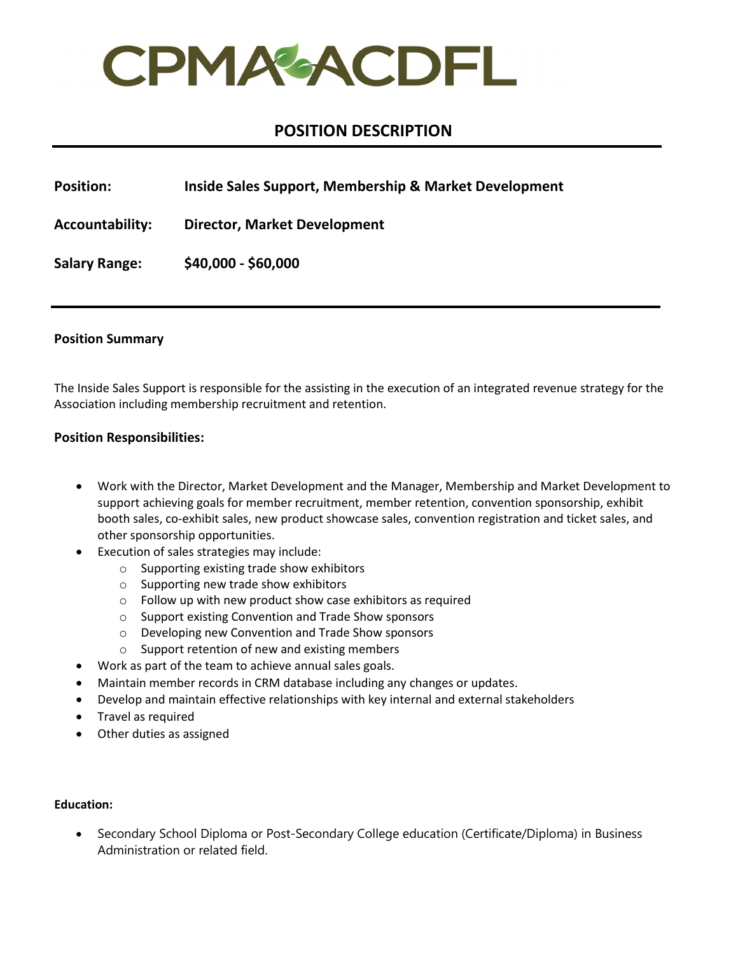

# **POSITION DESCRIPTION**

**Position: Inside Sales Support, Membership & Market Development**

**Accountability: Director, Market Development**

**Salary Range: \$40,000 - \$60,000**

### **Position Summary**

The Inside Sales Support is responsible for the assisting in the execution of an integrated revenue strategy for the Association including membership recruitment and retention.

## **Position Responsibilities:**

- Work with the Director, Market Development and the Manager, Membership and Market Development to support achieving goals for member recruitment, member retention, convention sponsorship, exhibit booth sales, co-exhibit sales, new product showcase sales, convention registration and ticket sales, and other sponsorship opportunities.
- Execution of sales strategies may include:
	- o Supporting existing trade show exhibitors
	- o Supporting new trade show exhibitors
	- o Follow up with new product show case exhibitors as required
	- o Support existing Convention and Trade Show sponsors
	- o Developing new Convention and Trade Show sponsors
	- o Support retention of new and existing members
- Work as part of the team to achieve annual sales goals.
- Maintain member records in CRM database including any changes or updates.
- Develop and maintain effective relationships with key internal and external stakeholders
- Travel as required
- Other duties as assigned

#### **Education:**

• Secondary School Diploma or Post-Secondary College education (Certificate/Diploma) in Business Administration or related field.